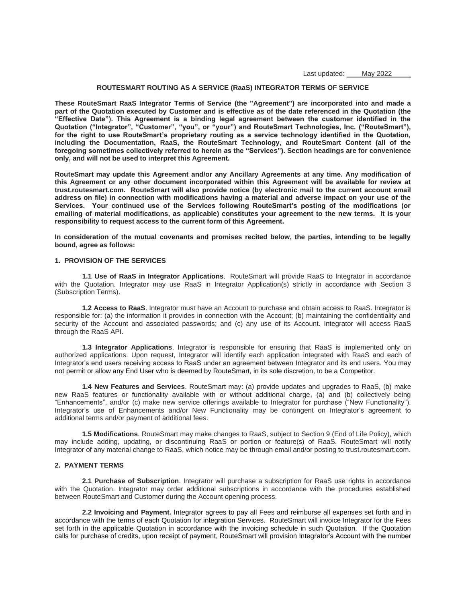Last updated: May 2022

# **ROUTESMART ROUTING AS A SERVICE (RaaS) INTEGRATOR TERMS OF SERVICE**

**These RouteSmart RaaS Integrator Terms of Service (the "Agreement") are incorporated into and made a part of the Quotation executed by Customer and is effective as of the date referenced in the Quotation (the "Effective Date"). This Agreement is a binding legal agreement between the customer identified in the Quotation ("Integrator", "Customer", "you", or "your") and RouteSmart Technologies, Inc. ("RouteSmart"), for the right to use RouteSmart's proprietary routing as a service technology identified in the Quotation, including the Documentation, RaaS, the RouteSmart Technology, and RouteSmart Content (all of the foregoing sometimes collectively referred to herein as the "Services"). Section headings are for convenience only, and will not be used to interpret this Agreement.**

**RouteSmart may update this Agreement and/or any Ancillary Agreements at any time. Any modification of this Agreement or any other document incorporated within this Agreement will be available for review at trust.routesmart.com. RouteSmart will also provide notice (by electronic mail to the current account email address on file) in connection with modifications having a material and adverse impact on your use of the Services. Your continued use of the Services following RouteSmart's posting of the modifications (or emailing of material modifications, as applicable) constitutes your agreement to the new terms. It is your responsibility to request access to the current form of this Agreement.** 

**In consideration of the mutual covenants and promises recited below, the parties, intending to be legally bound, agree as follows:**

#### **1. PROVISION OF THE SERVICES**

**1.1 Use of RaaS in Integrator Applications**. RouteSmart will provide RaaS to Integrator in accordance with the Quotation. Integrator may use RaaS in Integrator Application(s) strictly in accordance with Section 3 (Subscription Terms).

**1.2 Access to RaaS**. Integrator must have an Account to purchase and obtain access to RaaS. Integrator is responsible for: (a) the information it provides in connection with the Account; (b) maintaining the confidentiality and security of the Account and associated passwords; and (c) any use of its Account. Integrator will access RaaS through the RaaS API.

**1.3 Integrator Applications**. Integrator is responsible for ensuring that RaaS is implemented only on authorized applications. Upon request, Integrator will identify each application integrated with RaaS and each of Integrator's end users receiving access to RaaS under an agreement between Integrator and its end users. You may not permit or allow any End User who is deemed by RouteSmart, in its sole discretion, to be a Competitor.

**1.4 New Features and Services**. RouteSmart may: (a) provide updates and upgrades to RaaS, (b) make new RaaS features or functionality available with or without additional charge, (a) and (b) collectively being "Enhancements", and/or (c) make new service offerings available to Integrator for purchase ("New Functionality"). Integrator's use of Enhancements and/or New Functionality may be contingent on Integrator's agreement to additional terms and/or payment of additional fees.

**1.5 Modifications**. RouteSmart may make changes to RaaS, subject to Section 9 (End of Life Policy), which may include adding, updating, or discontinuing RaaS or portion or feature(s) of RaaS. RouteSmart will notify Integrator of any material change to RaaS, which notice may be through email and/or posting to trust.routesmart.com.

# **2. PAYMENT TERMS**

**2.1 Purchase of Subscription**. Integrator will purchase a subscription for RaaS use rights in accordance with the Quotation. Integrator may order additional subscriptions in accordance with the procedures established between RouteSmart and Customer during the Account opening process.

**2.2 Invoicing and Payment.** Integrator agrees to pay all Fees and reimburse all expenses set forth and in accordance with the terms of each Quotation for integration Services. RouteSmart will invoice Integrator for the Fees set forth in the applicable Quotation in accordance with the invoicing schedule in such Quotation. If the Quotation calls for purchase of credits, upon receipt of payment, RouteSmart will provision Integrator's Account with the number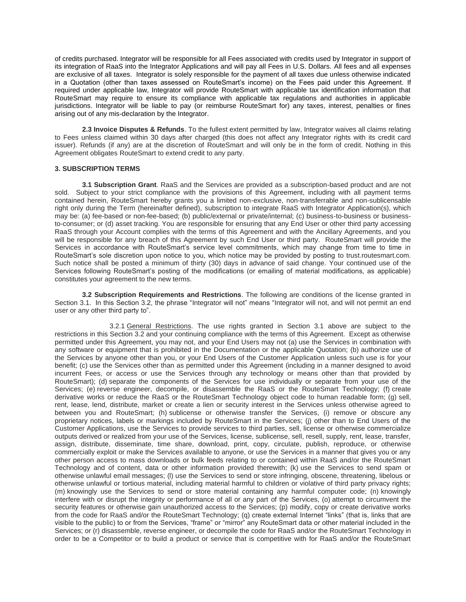of credits purchased. Integrator will be responsible for all Fees associated with credits used by Integrator in support of its integration of RaaS into the Integrator Applications and will pay all Fees in U.S. Dollars. All fees and all expenses are exclusive of all taxes. Integrator is solely responsible for the payment of all taxes due unless otherwise indicated in a Quotation (other than taxes assessed on RouteSmart's income) on the Fees paid under this Agreement. If required under applicable law, Integrator will provide RouteSmart with applicable tax identification information that RouteSmart may require to ensure its compliance with applicable tax regulations and authorities in applicable jurisdictions. Integrator will be liable to pay (or reimburse RouteSmart for) any taxes, interest, penalties or fines arising out of any mis-declaration by the Integrator.

**2.3 Invoice Disputes & Refunds**. To the fullest extent permitted by law, Integrator waives all claims relating to Fees unless claimed within 30 days after charged (this does not affect any Integrator rights with its credit card issuer). Refunds (if any) are at the discretion of RouteSmart and will only be in the form of credit. Nothing in this Agreement obligates RouteSmart to extend credit to any party.

## **3. SUBSCRIPTION TERMS**

**3.1 Subscription Grant**. RaaS and the Services are provided as a subscription-based product and are not sold. Subject to your strict compliance with the provisions of this Agreement, including with all payment terms contained herein, RouteSmart hereby grants you a limited non-exclusive, non-transferrable and non-sublicensable right only during the Term (hereinafter defined), subscription to integrate RaaS with Integrator Application(s), which may be: (a) fee-based or non-fee-based; (b) public/external or private/internal; (c) business-to-business or businessto-consumer; or (d) asset tracking. You are responsible for ensuring that any End User or other third party accessing RaaS through your Account complies with the terms of this Agreement and with the Ancillary Agreements, and you will be responsible for any breach of this Agreement by such End User or third party. RouteSmart will provide the Services in accordance with RouteSmart's service level commitments, which may change from time to time in RouteSmart's sole discretion upon notice to you, which notice may be provided by posting to trust.routesmart.com. Such notice shall be posted a minimum of thirty (30) days in advance of said change. Your continued use of the Services following RouteSmart's posting of the modifications (or emailing of material modifications, as applicable) constitutes your agreement to the new terms.

**3.2 Subscription Requirements and Restrictions**. The following are conditions of the license granted in Section 3.1. In this Section 3.2, the phrase "Integrator will not" means "Integrator will not, and will not permit an end user or any other third party to".

3.2.1 General Restrictions. The use rights granted in Section 3.1 above are subject to the restrictions in this Section 3.2 and your continuing compliance with the terms of this Agreement. Except as otherwise permitted under this Agreement, you may not, and your End Users may not (a) use the Services in combination with any software or equipment that is prohibited in the Documentation or the applicable Quotation; (b) authorize use of the Services by anyone other than you, or your End Users of the Customer Application unless such use is for your benefit; (c) use the Services other than as permitted under this Agreement (including in a manner designed to avoid incurrent Fees, or access or use the Services through any technology or means other than that provided by RouteSmart); (d) separate the components of the Services for use individually or separate from your use of the Services; (e) reverse engineer, decompile, or disassemble the RaaS or the RouteSmart Technology; (f) create derivative works or reduce the RaaS or the RouteSmart Technology object code to human readable form; (g) sell, rent, lease, lend, distribute, market or create a lien or security interest in the Services unless otherwise agreed to between you and RouteSmart; (h) sublicense or otherwise transfer the Services, (i) remove or obscure any proprietary notices, labels or markings included by RouteSmart in the Services; (j) other than to End Users of the Customer Applications, use the Services to provide services to third parties, sell, license or otherwise commercialize outputs derived or realized from your use of the Services, license, sublicense, sell, resell, supply, rent, lease, transfer, assign, distribute, disseminate, time share, download, print, copy, circulate, publish, reproduce, or otherwise commercially exploit or make the Services available to anyone, or use the Services in a manner that gives you or any other person access to mass downloads or bulk feeds relating to or contained within RaaS and/or the RouteSmart Technology and of content, data or other information provided therewith; (k) use the Services to send spam or otherwise unlawful email messages; (l) use the Services to send or store infringing, obscene, threatening, libelous or otherwise unlawful or tortious material, including material harmful to children or violative of third party privacy rights; (m) knowingly use the Services to send or store material containing any harmful computer code; (n) knowingly interfere with or disrupt the integrity or performance of all or any part of the Services, (o) attempt to circumvent the security features or otherwise gain unauthorized access to the Services; (p) modify, copy or create derivative works from the code for RaaS and/or the RouteSmart Technology; (q) create external Internet "links" (that is, links that are visible to the public) to or from the Services, "frame" or "mirror" any RouteSmart data or other material included in the Services; or (r) disassemble, reverse engineer, or decompile the code for RaaS and/or the RouteSmart Technology in order to be a Competitor or to build a product or service that is competitive with for RaaS and/or the RouteSmart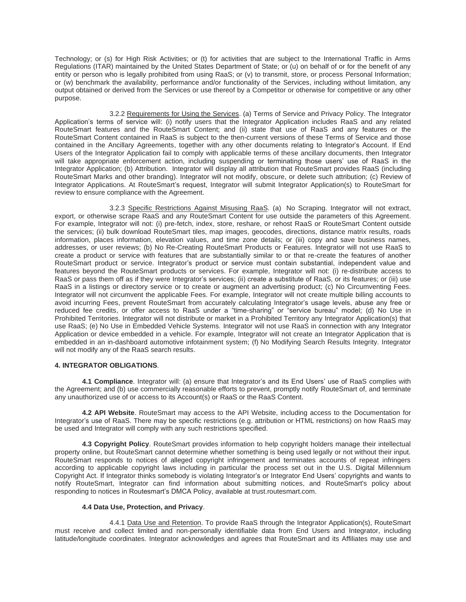Technology; or (s) for High Risk Activities; or (t) for activities that are subject to the International Traffic in Arms Regulations (ITAR) maintained by the United States Department of State; or (u) on behalf of or for the benefit of any entity or person who is legally prohibited from using RaaS; or (v) to transmit, store, or process Personal Information; or (w) benchmark the availability, performance and/or functionality of the Services, including without limitation, any output obtained or derived from the Services or use thereof by a Competitor or otherwise for competitive or any other purpose.

3.2.2 Requirements for Using the Services. (a) Terms of Service and Privacy Policy. The Integrator Application's terms of service will: (i) notify users that the Integrator Application includes RaaS and any related RouteSmart features and the RouteSmart Content; and (ii) state that use of RaaS and any features or the RouteSmart Content contained in RaaS is subject to the then-current versions of these Terms of Service and those contained in the Ancillary Agreements, together with any other documents relating to Integrator's Account. If End Users of the Integrator Application fail to comply with applicable terms of these ancillary documents, then Integrator will take appropriate enforcement action, including suspending or terminating those users' use of RaaS in the Integrator Application; (b) Attribution. Integrator will display all attribution that RouteSmart provides RaaS (including RouteSmart Marks and other branding). Integrator will not modify, obscure, or delete such attribution; (c) Review of Integrator Applications. At RouteSmart's request, Integrator will submit Integrator Application(s) to RouteSmart for review to ensure compliance with the Agreement.

3.2.3 Specific Restrictions Against Misusing RaaS. (a) No Scraping. Integrator will not extract, export, or otherwise scrape RaaS and any RouteSmart Content for use outside the parameters of this Agreement. For example, Integrator will not: (i) pre-fetch, index, store, reshare, or rehost RaaS or RouteSmart Content outside the services; (ii) bulk download RouteSmart tiles, map images, geocodes, directions, distance matrix results, roads information, places information, elevation values, and time zone details; or (iii) copy and save business names, addresses, or user reviews; (b) No Re-Creating RouteSmart Products or Features. Integrator will not use RaaS to create a product or service with features that are substantially similar to or that re-create the features of another RouteSmart product or service. Integrator's product or service must contain substantial, independent value and features beyond the RouteSmart products or services. For example, Integrator will not: (i) re-distribute access to RaaS or pass them off as if they were Integrator's services; (ii) create a substitute of RaaS, or its features; or (iii) use RaaS in a listings or directory service or to create or augment an advertising product; (c) No Circumventing Fees. Integrator will not circumvent the applicable Fees. For example, Integrator will not create multiple billing accounts to avoid incurring Fees, prevent RouteSmart from accurately calculating Integrator's usage levels, abuse any free or reduced fee credits, or offer access to RaaS under a "time-sharing" or "service bureau" model; (d) No Use in Prohibited Territories. Integrator will not distribute or market in a Prohibited Territory any Integrator Application(s) that use RaaS; (e) No Use in Embedded Vehicle Systems. Integrator will not use RaaS in connection with any Integrator Application or device embedded in a vehicle. For example, Integrator will not create an Integrator Application that is embedded in an in-dashboard automotive infotainment system; (f) No Modifying Search Results Integrity. Integrator will not modify any of the RaaS search results.

# **4. INTEGRATOR OBLIGATIONS**.

**4.1 Compliance**. Integrator will: (a) ensure that Integrator's and its End Users' use of RaaS complies with the Agreement; and (b) use commercially reasonable efforts to prevent, promptly notify RouteSmart of, and terminate any unauthorized use of or access to its Account(s) or RaaS or the RaaS Content.

**4.2 API Website**. RouteSmart may access to the API Website, including access to the Documentation for Integrator's use of RaaS. There may be specific restrictions (e.g. attribution or HTML restrictions) on how RaaS may be used and Integrator will comply with any such restrictions specified.

**4.3 Copyright Policy**. RouteSmart provides information to help copyright holders manage their intellectual property online, but RouteSmart cannot determine whether something is being used legally or not without their input. RouteSmart responds to notices of alleged copyright infringement and terminates accounts of repeat infringers according to applicable copyright laws including in particular the process set out in the U.S. Digital Millennium Copyright Act. If Integrator thinks somebody is violating Integrator's or Integrator End Users' copyrights and wants to notify RouteSmart, Integrator can find information about submitting notices, and RouteSmart's policy about responding to notices in Routesmart's DMCA Policy, available at trust.routesmart.com.

# **4.4 Data Use, Protection, and Privacy**.

4.4.1 Data Use and Retention. To provide RaaS through the Integrator Application(s), RouteSmart must receive and collect limited and non-personally identifiable data from End Users and Integrator, including latitude/longitude coordinates. Integrator acknowledges and agrees that RouteSmart and its Affiliates may use and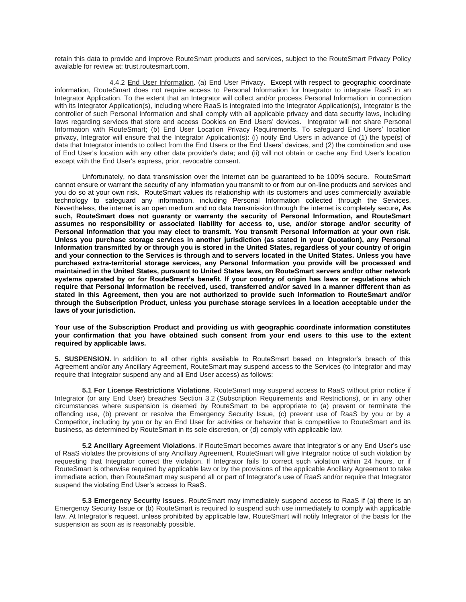retain this data to provide and improve RouteSmart products and services, subject to the RouteSmart Privacy Policy available for review at: trust.routesmart.com.

4.4.2 End User Information. (a) End User Privacy. Except with respect to geographic coordinate information, RouteSmart does not require access to Personal Information for Integrator to integrate RaaS in an Integrator Application. To the extent that an Integrator will collect and/or process Personal Information in connection with its Integrator Application(s), including where RaaS is integrated into the Integrator Application(s), Integrator is the controller of such Personal Information and shall comply with all applicable privacy and data security laws, including laws regarding services that store and access Cookies on End Users' devices. Integrator will not share Personal Information with RouteSmart; (b) End User Location Privacy Requirements. To safeguard End Users' location privacy, Integrator will ensure that the Integrator Application(s): (i) notify End Users in advance of (1) the type(s) of data that Integrator intends to collect from the End Users or the End Users' devices, and (2) the combination and use of End User's location with any other data provider's data; and (ii) will not obtain or cache any End User's location except with the End User's express, prior, revocable consent.

Unfortunately, no data transmission over the Internet can be guaranteed to be 100% secure. RouteSmart cannot ensure or warrant the security of any information you transmit to or from our on-line products and services and you do so at your own risk. RouteSmart values its relationship with its customers and uses commercially available technology to safeguard any information, including Personal Information collected through the Services. Nevertheless, the internet is an open medium and no data transmission through the internet is completely secure**, As such, RouteSmart does not guaranty or warranty the security of Personal Information, and RouteSmart assumes no responsibility or associated liability for access to, use, and/or storage and/or security of Personal Information that you may elect to transmit. You transmit Personal Information at your own risk. Unless you purchase storage services in another jurisdiction (as stated in your Quotation), any Personal Information transmitted by or through you is stored in the United States, regardless of your country of origin and your connection to the Services is through and to servers located in the United States. Unless you have purchased extra-territorial storage services, any Personal Information you provide will be processed and maintained in the United States, pursuant to United States laws, on RouteSmart servers and/or other network systems operated by or for RouteSmart's benefit. If your country of origin has laws or regulations which require that Personal Information be received, used, transferred and/or saved in a manner different than as stated in this Agreement, then you are not authorized to provide such information to RouteSmart and/or through the Subscription Product, unless you purchase storage services in a location acceptable under the laws of your jurisdiction.**

## **Your use of the Subscription Product and providing us with geographic coordinate information constitutes your confirmation that you have obtained such consent from your end users to this use to the extent required by applicable laws.**

**5. SUSPENSION.** In addition to all other rights available to RouteSmart based on Integrator's breach of this Agreement and/or any Ancillary Agreement, RouteSmart may suspend access to the Services (to Integrator and may require that Integrator suspend any and all End User access) as follows:

**5.1 For License Restrictions Violations**. RouteSmart may suspend access to RaaS without prior notice if Integrator (or any End User) breaches Section 3.2 (Subscription Requirements and Restrictions), or in any other circumstances where suspension is deemed by RouteSmart to be appropriate to (a) prevent or terminate the offending use, (b) prevent or resolve the Emergency Security Issue, (c) prevent use of RaaS by you or by a Competitor, including by you or by an End User for activities or behavior that is competitive to RouteSmart and its business, as determined by RouteSmart in its sole discretion, or (d) comply with applicable law.

**5.2 Ancillary Agreement Violations**. If RouteSmart becomes aware that Integrator's or any End User's use of RaaS violates the provisions of any Ancillary Agreement, RouteSmart will give Integrator notice of such violation by requesting that Integrator correct the violation. If Integrator fails to correct such violation within 24 hours, or if RouteSmart is otherwise required by applicable law or by the provisions of the applicable Ancillary Agreement to take immediate action, then RouteSmart may suspend all or part of Integrator's use of RaaS and/or require that Integrator suspend the violating End User's access to RaaS.

**5.3 Emergency Security Issues**. RouteSmart may immediately suspend access to RaaS if (a) there is an Emergency Security Issue or (b) RouteSmart is required to suspend such use immediately to comply with applicable law. At Integrator's request, unless prohibited by applicable law, RouteSmart will notify Integrator of the basis for the suspension as soon as is reasonably possible.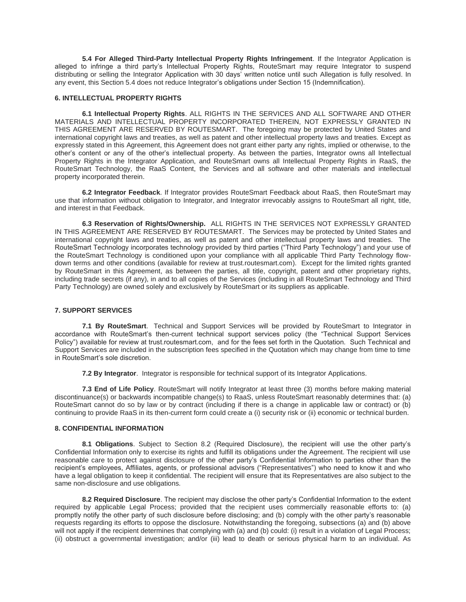**5.4 For Alleged Third-Party Intellectual Property Rights Infringement**. If the Integrator Application is alleged to infringe a third party's Intellectual Property Rights, RouteSmart may require Integrator to suspend distributing or selling the Integrator Application with 30 days' written notice until such Allegation is fully resolved. In any event, this Section 5.4 does not reduce Integrator's obligations under Section 15 (Indemnification).

## **6. INTELLECTUAL PROPERTY RIGHTS**

**6.1 Intellectual Property Rights**. ALL RIGHTS IN THE SERVICES AND ALL SOFTWARE AND OTHER MATERIALS AND INTELLECTUAL PROPERTY INCORPORATED THEREIN, NOT EXPRESSLY GRANTED IN THIS AGREEMENT ARE RESERVED BY ROUTESMART. The foregoing may be protected by United States and international copyright laws and treaties, as well as patent and other intellectual property laws and treaties. Except as expressly stated in this Agreement, this Agreement does not grant either party any rights, implied or otherwise, to the other's content or any of the other's intellectual property. As between the parties, Integrator owns all Intellectual Property Rights in the Integrator Application, and RouteSmart owns all Intellectual Property Rights in RaaS, the RouteSmart Technology, the RaaS Content, the Services and all software and other materials and intellectual property incorporated therein.

**6.2 Integrator Feedback**. If Integrator provides RouteSmart Feedback about RaaS, then RouteSmart may use that information without obligation to Integrator, and Integrator irrevocably assigns to RouteSmart all right, title, and interest in that Feedback.

**6.3 Reservation of Rights/Ownership.** ALL RIGHTS IN THE SERVICES NOT EXPRESSLY GRANTED IN THIS AGREEMENT ARE RESERVED BY ROUTESMART. The Services may be protected by United States and international copyright laws and treaties, as well as patent and other intellectual property laws and treaties. The RouteSmart Technology incorporates technology provided by third parties ("Third Party Technology") and your use of the RouteSmart Technology is conditioned upon your compliance with all applicable Third Party Technology flowdown terms and other conditions (available for review at trust.routesmart.com). Except for the limited rights granted by RouteSmart in this Agreement, as between the parties, all title, copyright, patent and other proprietary rights, including trade secrets (if any), in and to all copies of the Services (including in all RouteSmart Technology and Third Party Technology) are owned solely and exclusively by RouteSmart or its suppliers as applicable.

# **7. SUPPORT SERVICES**

**7.1 By RouteSmart**. Technical and Support Services will be provided by RouteSmart to Integrator in accordance with RouteSmart's then-current technical support services policy (the "Technical Support Services Policy") available for review at trust.routesmart.com, and for the fees set forth in the Quotation. Such Technical and Support Services are included in the subscription fees specified in the Quotation which may change from time to time in RouteSmart's sole discretion.

**7.2 By Integrator**. Integrator is responsible for technical support of its Integrator Applications.

**7.3 End of Life Policy**. RouteSmart will notify Integrator at least three (3) months before making material discontinuance(s) or backwards incompatible change(s) to RaaS, unless RouteSmart reasonably determines that: (a) RouteSmart cannot do so by law or by contract (including if there is a change in applicable law or contract) or (b) continuing to provide RaaS in its then-current form could create a (i) security risk or (ii) economic or technical burden.

# **8. CONFIDENTIAL INFORMATION**

**8.1 Obligations**. Subject to Section 8.2 (Required Disclosure), the recipient will use the other party's Confidential Information only to exercise its rights and fulfill its obligations under the Agreement. The recipient will use reasonable care to protect against disclosure of the other party's Confidential Information to parties other than the recipient's employees, Affiliates, agents, or professional advisors ("Representatives") who need to know it and who have a legal obligation to keep it confidential. The recipient will ensure that its Representatives are also subject to the same non-disclosure and use obligations.

**8.2 Required Disclosure**. The recipient may disclose the other party's Confidential Information to the extent required by applicable Legal Process; provided that the recipient uses commercially reasonable efforts to: (a) promptly notify the other party of such disclosure before disclosing; and (b) comply with the other party's reasonable requests regarding its efforts to oppose the disclosure. Notwithstanding the foregoing, subsections (a) and (b) above will not apply if the recipient determines that complying with (a) and (b) could: (i) result in a violation of Legal Process; (ii) obstruct a governmental investigation; and/or (iii) lead to death or serious physical harm to an individual. As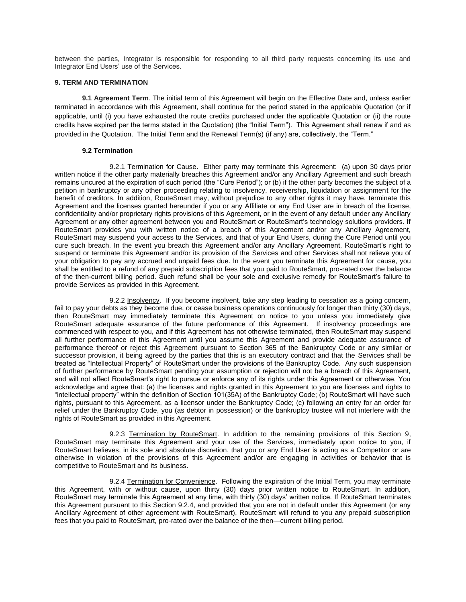between the parties, Integrator is responsible for responding to all third party requests concerning its use and Integrator End Users' use of the Services.

## **9. TERM AND TERMINATION**

**9.1 Agreement Term**. The initial term of this Agreement will begin on the Effective Date and, unless earlier terminated in accordance with this Agreement, shall continue for the period stated in the applicable Quotation (or if applicable, until (i) you have exhausted the route credits purchased under the applicable Quotation or (ii) the route credits have expired per the terms stated in the Quotation) (the "Initial Term"). This Agreement shall renew if and as provided in the Quotation. The Initial Term and the Renewal Term(s) (if any) are, collectively, the "Term."

## **9.2 Termination**

9.2.1 Termination for Cause. Either party may terminate this Agreement: (a) upon 30 days prior written notice if the other party materially breaches this Agreement and/or any Ancillary Agreement and such breach remains uncured at the expiration of such period (the "Cure Period"); or (b) if the other party becomes the subject of a petition in bankruptcy or any other proceeding relating to insolvency, receivership, liquidation or assignment for the benefit of creditors. In addition, RouteSmart may, without prejudice to any other rights it may have, terminate this Agreement and the licenses granted hereunder if you or any Affiliate or any End User are in breach of the license, confidentiality and/or proprietary rights provisions of this Agreement, or in the event of any default under any Ancillary Agreement or any other agreement between you and RouteSmart or RouteSmart's technology solutions providers. If RouteSmart provides you with written notice of a breach of this Agreement and/or any Ancillary Agreement, RouteSmart may suspend your access to the Services, and that of your End Users, during the Cure Period until you cure such breach. In the event you breach this Agreement and/or any Ancillary Agreement, RouteSmart's right to suspend or terminate this Agreement and/or its provision of the Services and other Services shall not relieve you of your obligation to pay any accrued and unpaid fees due. In the event you terminate this Agreement for cause, you shall be entitled to a refund of any prepaid subscription fees that you paid to RouteSmart, pro-rated over the balance of the then-current billing period. Such refund shall be your sole and exclusive remedy for RouteSmart's failure to provide Services as provided in this Agreement.

9.2.2 Insolvency. If you become insolvent, take any step leading to cessation as a going concern, fail to pay your debts as they become due, or cease business operations continuously for longer than thirty (30) days, then RouteSmart may immediately terminate this Agreement on notice to you unless you immediately give RouteSmart adequate assurance of the future performance of this Agreement. If insolvency proceedings are commenced with respect to you, and if this Agreement has not otherwise terminated, then RouteSmart may suspend all further performance of this Agreement until you assume this Agreement and provide adequate assurance of performance thereof or reject this Agreement pursuant to Section 365 of the Bankruptcy Code or any similar or successor provision, it being agreed by the parties that this is an executory contract and that the Services shall be treated as "Intellectual Property" of RouteSmart under the provisions of the Bankruptcy Code. Any such suspension of further performance by RouteSmart pending your assumption or rejection will not be a breach of this Agreement, and will not affect RouteSmart's right to pursue or enforce any of its rights under this Agreement or otherwise. You acknowledge and agree that: (a) the licenses and rights granted in this Agreement to you are licenses and rights to "intellectual property" within the definition of Section 101(35A) of the Bankruptcy Code; (b) RouteSmart will have such rights, pursuant to this Agreement, as a licensor under the Bankruptcy Code; (c) following an entry for an order for relief under the Bankruptcy Code, you (as debtor in possession) or the bankruptcy trustee will not interfere with the rights of RouteSmart as provided in this Agreement.

9.2.3 Termination by RouteSmart. In addition to the remaining provisions of this Section 9, RouteSmart may terminate this Agreement and your use of the Services, immediately upon notice to you, if RouteSmart believes, in its sole and absolute discretion, that you or any End User is acting as a Competitor or are otherwise in violation of the provisions of this Agreement and/or are engaging in activities or behavior that is competitive to RouteSmart and its business.

9.2.4 Termination for Convenience. Following the expiration of the Initial Term, you may terminate this Agreement, with or without cause, upon thirty (30) days prior written notice to RouteSmart. In addition, RouteSmart may terminate this Agreement at any time, with thirty (30) days' written notice. If RouteSmart terminates this Agreement pursuant to this Section 9.2.4, and provided that you are not in default under this Agreement (or any Ancillary Agreement of other agreement with RouteSmart), RouteSmart will refund to you any prepaid subscription fees that you paid to RouteSmart, pro-rated over the balance of the then—current billing period.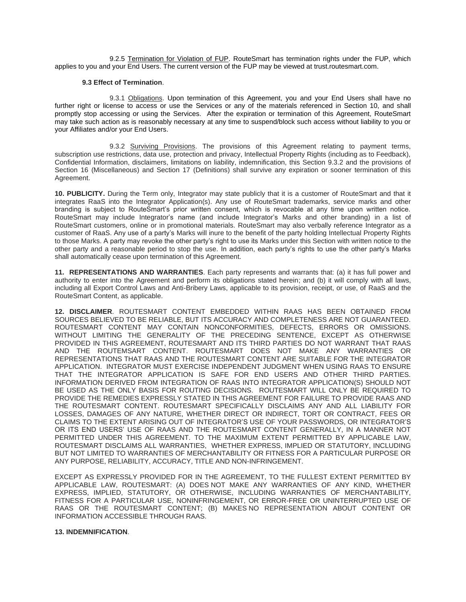9.2.5 Termination for Violation of FUP. RouteSmart has termination rights under the FUP, which applies to you and your End Users. The current version of the FUP may be viewed at trust.routesmart.com.

### **9.3 Effect of Termination**.

9.3.1 Obligations. Upon termination of this Agreement, you and your End Users shall have no further right or license to access or use the Services or any of the materials referenced in Section 10, and shall promptly stop accessing or using the Services. After the expiration or termination of this Agreement, RouteSmart may take such action as is reasonably necessary at any time to suspend/block such access without liability to you or your Affiliates and/or your End Users.

9.3.2 Surviving Provisions. The provisions of this Agreement relating to payment terms, subscription use restrictions, data use, protection and privacy, Intellectual Property Rights (including as to Feedback), Confidential Information, disclaimers, limitations on liability, indemnification, this Section 9.3.2 and the provisions of Section 16 (Miscellaneous) and Section 17 (Definitions) shall survive any expiration or sooner termination of this Agreement.

**10. PUBLICITY.** During the Term only, Integrator may state publicly that it is a customer of RouteSmart and that it integrates RaaS into the Integrator Application(s). Any use of RouteSmart trademarks, service marks and other branding is subject to RouteSmart's prior written consent, which is revocable at any time upon written notice. RouteSmart may include Integrator's name (and include Integrator's Marks and other branding) in a list of RouteSmart customers, online or in promotional materials. RouteSmart may also verbally reference Integrator as a customer of RaaS. Any use of a party's Marks will inure to the benefit of the party holding Intellectual Property Rights to those Marks. A party may revoke the other party's right to use its Marks under this Section with written notice to the other party and a reasonable period to stop the use. In addition, each party's rights to use the other party's Marks shall automatically cease upon termination of this Agreement.

**11. REPRESENTATIONS AND WARRANTIES**. Each party represents and warrants that: (a) it has full power and authority to enter into the Agreement and perform its obligations stated herein; and (b) it will comply with all laws, including all Export Control Laws and Anti-Bribery Laws, applicable to its provision, receipt, or use, of RaaS and the RouteSmart Content, as applicable.

**12. DISCLAIMER**. ROUTESMART CONTENT EMBEDDED WITHIN RAAS HAS BEEN OBTAINED FROM SOURCES BELIEVED TO BE RELIABLE, BUT ITS ACCURACY AND COMPLETENESS ARE NOT GUARANTEED. ROUTESMART CONTENT MAY CONTAIN NONCONFORMITIES, DEFECTS, ERRORS OR OMISSIONS. WITHOUT LIMITING THE GENERALITY OF THE PRECEDING SENTENCE, EXCEPT AS OTHERWISE PROVIDED IN THIS AGREEMENT, ROUTESMART AND ITS THIRD PARTIES DO NOT WARRANT THAT RAAS AND THE ROUTEMSART CONTENT. ROUTESMART DOES NOT MAKE ANY WARRANTIES OR REPRESENTATIONS THAT RAAS AND THE ROUTESMART CONTENT ARE SUITABLE FOR THE INTEGRATOR APPLICATION. INTEGRATOR MUST EXERCISE INDEPENDENT JUDGMENT WHEN USING RAAS TO ENSURE THAT THE INTEGRATOR APPLICATION IS SAFE FOR END USERS AND OTHER THIRD PARTIES. INFORMATION DERIVED FROM INTEGRATION OF RAAS INTO INTEGRATOR APPLICATION(S) SHOULD NOT BE USED AS THE ONLY BASIS FOR ROUTING DECISIONS. ROUTESMART WILL ONLY BE REQUIRED TO PROVIDE THE REMEDIES EXPRESSLY STATED IN THIS AGREEMENT FOR FAILURE TO PROVIDE RAAS AND THE ROUTESMART CONTENT. ROUTESMART SPECIFICALLY DISCLAIMS ANY AND ALL LIABILITY FOR LOSSES, DAMAGES OF ANY NATURE, WHETHER DIRECT OR INDIRECT, TORT OR CONTRACT, FEES OR CLAIMS TO THE EXTENT ARISING OUT OF INTEGRATOR'S USE OF YOUR PASSWORDS, OR INTEGRATOR'S OR ITS END USERS' USE OF RAAS AND THE ROUTESMART CONTENT GENERALLY, IN A MANNER NOT PERMITTED UNDER THIS AGREEMENT. TO THE MAXIMUM EXTENT PERMITTED BY APPLICABLE LAW, ROUTESMART DISCLAIMS ALL WARRANTIES, WHETHER EXPRESS, IMPLIED OR STATUTORY, INCLUDING BUT NOT LIMITED TO WARRANTIES OF MERCHANTABILITY OR FITNESS FOR A PARTICULAR PURPOSE OR ANY PURPOSE, RELIABILITY, ACCURACY, TITLE AND NON-INFRINGEMENT.

EXCEPT AS EXPRESSLY PROVIDED FOR IN THE AGREEMENT, TO THE FULLEST EXTENT PERMITTED BY APPLICABLE LAW, ROUTESMART: (A) DOES NOT MAKE ANY WARRANTIES OF ANY KIND, WHETHER EXPRESS, IMPLIED, STATUTORY, OR OTHERWISE, INCLUDING WARRANTIES OF MERCHANTABILITY, FITNESS FOR A PARTICULAR USE, NONINFRINGEMENT, OR ERROR-FREE OR UNINTERRUPTED USE OF RAAS OR THE ROUTESMART CONTENT; (B) MAKES NO REPRESENTATION ABOUT CONTENT OR INFORMATION ACCESSIBLE THROUGH RAAS.

### **13. INDEMNIFICATION**.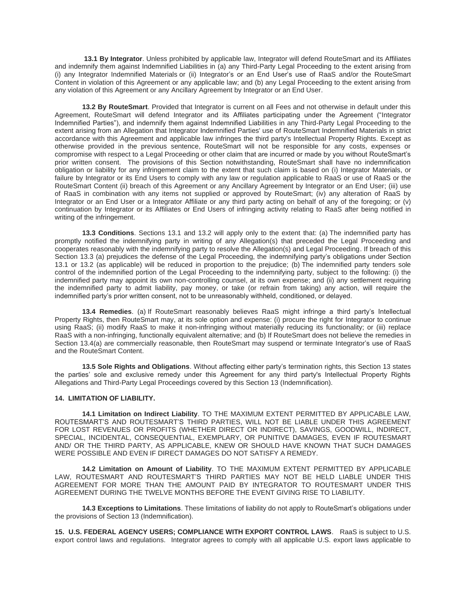**13.1 By Integrator**. Unless prohibited by applicable law, Integrator will defend RouteSmart and its Affiliates and indemnify them against Indemnified Liabilities in (a) any Third-Party Legal Proceeding to the extent arising from (i) any Integrator Indemnified Materials or (ii) Integrator's or an End User's use of RaaS and/or the RouteSmart Content in violation of this Agreement or any applicable law; and (b) any Legal Proceeding to the extent arising from any violation of this Agreement or any Ancillary Agreement by Integrator or an End User.

**13.2 By RouteSmart**. Provided that Integrator is current on all Fees and not otherwise in default under this Agreement, RouteSmart will defend Integrator and its Affiliates participating under the Agreement ("Integrator Indemnified Parties"), and indemnify them against Indemnified Liabilities in any Third-Party Legal Proceeding to the extent arising from an Allegation that Integrator Indemnified Parties' use of RouteSmart Indemnified Materials in strict accordance with this Agreement and applicable law infringes the third party's Intellectual Property Rights. Except as otherwise provided in the previous sentence, RouteSmart will not be responsible for any costs, expenses or compromise with respect to a Legal Proceeding or other claim that are incurred or made by you without RouteSmart's prior written consent. The provisions of this Section notwithstanding, RouteSmart shall have no indemnification obligation or liability for any infringement claim to the extent that such claim is based on (i) Integrator Materials, or failure by Integrator or its End Users to comply with any law or regulation applicable to RaaS or use of RaaS or the RouteSmart Content (ii) breach of this Agreement or any Ancillary Agreement by Integrator or an End User; (iii) use of RaaS in combination with any items not supplied or approved by RouteSmart; (iv) any alteration of RaaS by Integrator or an End User or a Integrator Affiliate or any third party acting on behalf of any of the foregoing; or (v) continuation by Integrator or its Affiliates or End Users of infringing activity relating to RaaS after being notified in writing of the infringement.

**13.3 Conditions**. Sections 13.1 and 13.2 will apply only to the extent that: (a) The indemnified party has promptly notified the indemnifying party in writing of any Allegation(s) that preceded the Legal Proceeding and cooperates reasonably with the indemnifying party to resolve the Allegation(s) and Legal Proceeding. If breach of this Section 13.3 (a) prejudices the defense of the Legal Proceeding, the indemnifying party's obligations under Section 13.1 or 13.2 (as applicable) will be reduced in proportion to the prejudice; (b) The indemnified party tenders sole control of the indemnified portion of the Legal Proceeding to the indemnifying party, subject to the following: (i) the indemnified party may appoint its own non-controlling counsel, at its own expense; and (ii) any settlement requiring the indemnified party to admit liability, pay money, or take (or refrain from taking) any action, will require the indemnified party's prior written consent, not to be unreasonably withheld, conditioned, or delayed.

**13.4 Remedies**. (a) If RouteSmart reasonably believes RaaS might infringe a third party's Intellectual Property Rights, then RouteSmart may, at its sole option and expense: (i) procure the right for Integrator to continue using RaaS; (ii) modify RaaS to make it non-infringing without materially reducing its functionality; or (iii) replace RaaS with a non-infringing, functionally equivalent alternative; and (b) If RouteSmart does not believe the remedies in Section 13.4(a) are commercially reasonable, then RouteSmart may suspend or terminate Integrator's use of RaaS and the RouteSmart Content.

**13.5 Sole Rights and Obligations**. Without affecting either party's termination rights, this Section 13 states the parties' sole and exclusive remedy under this Agreement for any third party's Intellectual Property Rights Allegations and Third-Party Legal Proceedings covered by this Section 13 (Indemnification).

### **14. LIMITATION OF LIABILITY.**

**14.1 Limitation on Indirect Liability**. TO THE MAXIMUM EXTENT PERMITTED BY APPLICABLE LAW, ROUTESMART'S AND ROUTESMART'S THIRD PARTIES, WILL NOT BE LIABLE UNDER THIS AGREEMENT FOR LOST REVENUES OR PROFITS (WHETHER DIRECT OR INDIRECT), SAVINGS, GOODWILL, INDIRECT, SPECIAL, INCIDENTAL, CONSEQUENTIAL, EXEMPLARY, OR PUNITIVE DAMAGES, EVEN IF ROUTESMART AND/ OR THE THIRD PARTY, AS APPLICABLE, KNEW OR SHOULD HAVE KNOWN THAT SUCH DAMAGES WERE POSSIBLE AND EVEN IF DIRECT DAMAGES DO NOT SATISFY A REMEDY.

**14.2 Limitation on Amount of Liability**. TO THE MAXIMUM EXTENT PERMITTED BY APPLICABLE LAW, ROUTESMART AND ROUTESMART'S THIRD PARTIES MAY NOT BE HELD LIABLE UNDER THIS AGREEMENT FOR MORE THAN THE AMOUNT PAID BY INTEGRATOR TO ROUTESMART UNDER THIS AGREEMENT DURING THE TWELVE MONTHS BEFORE THE EVENT GIVING RISE TO LIABILITY.

**14.3 Exceptions to Limitations**. These limitations of liability do not apply to RouteSmart's obligations under the provisions of Section 13 (Indemnification).

**15. U.S. FEDERAL AGENCY USERS; COMPLIANCE WITH EXPORT CONTROL LAWS**. RaaS is subject to U.S. export control laws and regulations. Integrator agrees to comply with all applicable U.S. export laws applicable to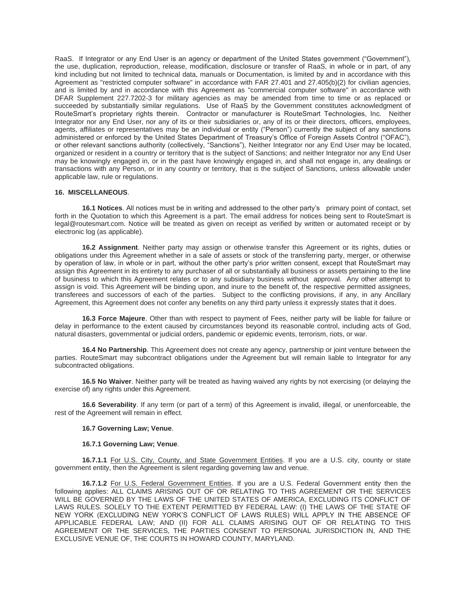RaaS. If Integrator or any End User is an agency or department of the United States government ("Government"), the use, duplication, reproduction, release, modification, disclosure or transfer of RaaS, in whole or in part, of any kind including but not limited to technical data, manuals or Documentation, is limited by and in accordance with this Agreement as "restricted computer software" in accordance with FAR 27.401 and 27.405(b)(2) for civilian agencies, and is limited by and in accordance with this Agreement as "commercial computer software" in accordance with DFAR Supplement 227.7202-3 for military agencies as may be amended from time to time or as replaced or succeeded by substantially similar regulations. Use of RaaS by the Government constitutes acknowledgment of RouteSmart's proprietary rights therein. Contractor or manufacturer is RouteSmart Technologies, Inc. Neither Integrator nor any End User, nor any of its or their subsidiaries or, any of its or their directors, officers, employees, agents, affiliates or representatives may be an individual or entity ("Person") currently the subject of any sanctions administered or enforced by the United States Department of Treasury's Office of Foreign Assets Control ("OFAC"), or other relevant sanctions authority (collectively, "Sanctions"), Neither Integrator nor any End User may be located, organized or resident in a country or territory that is the subject of Sanctions; and neither Integrator nor any End User may be knowingly engaged in, or in the past have knowingly engaged in, and shall not engage in, any dealings or transactions with any Person, or in any country or territory, that is the subject of Sanctions, unless allowable under applicable law, rule or regulations.

### **16. MISCELLANEOUS**.

**16.1 Notices**. All notices must be in writing and addressed to the other party's primary point of contact, set forth in the Quotation to which this Agreement is a part. The email address for notices being sent to RouteSmart is legal@routesmart.com. Notice will be treated as given on receipt as verified by written or automated receipt or by electronic log (as applicable).

**16.2 Assignment**. Neither party may assign or otherwise transfer this Agreement or its rights, duties or obligations under this Agreement whether in a sale of assets or stock of the transferring party, merger, or otherwise by operation of law, in whole or in part, without the other party's prior written consent, except that RouteSmart may assign this Agreement in its entirety to any purchaser of all or substantially all business or assets pertaining to the line of business to which this Agreement relates or to any subsidiary business without approval. Any other attempt to assign is void. This Agreement will be binding upon, and inure to the benefit of, the respective permitted assignees, transferees and successors of each of the parties. Subject to the conflicting provisions, if any, in any Ancillary Agreement, this Agreement does not confer any benefits on any third party unless it expressly states that it does.

**16.3 Force Majeure**. Other than with respect to payment of Fees, neither party will be liable for failure or delay in performance to the extent caused by circumstances beyond its reasonable control, including acts of God, natural disasters, governmental or judicial orders, pandemic or epidemic events, terrorism, riots, or war.

**16.4 No Partnership**. This Agreement does not create any agency, partnership or joint venture between the parties. RouteSmart may subcontract obligations under the Agreement but will remain liable to Integrator for any subcontracted obligations.

**16.5 No Waiver**. Neither party will be treated as having waived any rights by not exercising (or delaying the exercise of) any rights under this Agreement.

**16.6 Severability**. If any term (or part of a term) of this Agreement is invalid, illegal, or unenforceable, the rest of the Agreement will remain in effect.

### **16.7 Governing Law; Venue**.

### **16.7.1 Governing Law; Venue**.

**16.7.1.1** For U.S. City, County, and State Government Entities. If you are a U.S. city, county or state government entity, then the Agreement is silent regarding governing law and venue.

**16.7.1.2** For U.S. Federal Government Entities. If you are a U.S. Federal Government entity then the following applies: ALL CLAIMS ARISING OUT OF OR RELATING TO THIS AGREEMENT OR THE SERVICES WILL BE GOVERNED BY THE LAWS OF THE UNITED STATES OF AMERICA, EXCLUDING ITS CONFLICT OF LAWS RULES. SOLELY TO THE EXTENT PERMITTED BY FEDERAL LAW: (I) THE LAWS OF THE STATE OF NEW YORK (EXCLUDING NEW YORK'S CONFLICT OF LAWS RULES) WILL APPLY IN THE ABSENCE OF APPLICABLE FEDERAL LAW; AND (II) FOR ALL CLAIMS ARISING OUT OF OR RELATING TO THIS AGREEMENT OR THE SERVICES, THE PARTIES CONSENT TO PERSONAL JURISDICTION IN, AND THE EXCLUSIVE VENUE OF, THE COURTS IN HOWARD COUNTY, MARYLAND.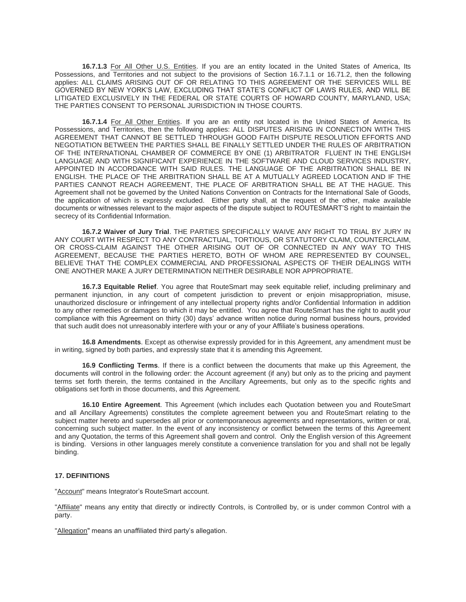**16.7.1.3** For All Other U.S. Entities. If you are an entity located in the United States of America, Its Possessions, and Territories and not subject to the provisions of Section 16.7.1.1 or 16.71.2, then the following applies: ALL CLAIMS ARISING OUT OF OR RELATING TO THIS AGREEMENT OR THE SERVICES WILL BE GOVERNED BY NEW YORK'S LAW, EXCLUDING THAT STATE'S CONFLICT OF LAWS RULES, AND WILL BE LITIGATED EXCLUSIVELY IN THE FEDERAL OR STATE COURTS OF HOWARD COUNTY, MARYLAND, USA; THE PARTIES CONSENT TO PERSONAL JURISDICTION IN THOSE COURTS.

**16.7.1.4** For All Other Entities. If you are an entity not located in the United States of America, Its Possessions, and Territories, then the following applies: ALL DISPUTES ARISING IN CONNECTION WITH THIS AGREEMENT THAT CANNOT BE SETTLED THROUGH GOOD FAITH DISPUTE RESOLUTION EFFORTS AND NEGOTIATION BETWEEN THE PARTIES SHALL BE FINALLY SETTLED UNDER THE RULES OF ARBITRATION OF THE INTERNATIONAL CHAMBER OF COMMERCE BY ONE (1) ARBITRATOR FLUENT IN THE ENGLISH LANGUAGE AND WITH SIGNIFICANT EXPERIENCE IN THE SOFTWARE AND CLOUD SERVICES INDUSTRY, APPOINTED IN ACCORDANCE WITH SAID RULES. THE LANGUAGE OF THE ARBITRATION SHALL BE IN ENGLISH. THE PLACE OF THE ARBITRATION SHALL BE AT A MUTUALLY AGREED LOCATION AND IF THE PARTIES CANNOT REACH AGREEMENT, THE PLACE OF ARBITRATION SHALL BE AT THE HAGUE. This Agreement shall not be governed by the United Nations Convention on Contracts for the International Sale of Goods, the application of which is expressly excluded. Either party shall, at the request of the other, make available documents or witnesses relevant to the major aspects of the dispute subject to ROUTESMART'S right to maintain the secrecy of its Confidential Information.

**16.7.2 Waiver of Jury Trial**. THE PARTIES SPECIFICALLY WAIVE ANY RIGHT TO TRIAL BY JURY IN ANY COURT WITH RESPECT TO ANY CONTRACTUAL, TORTIOUS, OR STATUTORY CLAIM, COUNTERCLAIM, OR CROSS-CLAIM AGAINST THE OTHER ARISING OUT OF OR CONNECTED IN ANY WAY TO THIS AGREEMENT, BECAUSE THE PARTIES HERETO, BOTH OF WHOM ARE REPRESENTED BY COUNSEL, BELIEVE THAT THE COMPLEX COMMERCIAL AND PROFESSIONAL ASPECTS OF THEIR DEALINGS WITH ONE ANOTHER MAKE A JURY DETERMINATION NEITHER DESIRABLE NOR APPROPRIATE.

**16.7.3 Equitable Relief**. You agree that RouteSmart may seek equitable relief, including preliminary and permanent injunction, in any court of competent jurisdiction to prevent or enjoin misappropriation, misuse, unauthorized disclosure or infringement of any intellectual property rights and/or Confidential Information in addition to any other remedies or damages to which it may be entitled. You agree that RouteSmart has the right to audit your compliance with this Agreement on thirty (30) days' advance written notice during normal business hours, provided that such audit does not unreasonably interfere with your or any of your Affiliate's business operations.

**16.8 Amendments**. Except as otherwise expressly provided for in this Agreement, any amendment must be in writing, signed by both parties, and expressly state that it is amending this Agreement.

**16.9 Conflicting Terms**. If there is a conflict between the documents that make up this Agreement, the documents will control in the following order: the Account agreement (if any) but only as to the pricing and payment terms set forth therein, the terms contained in the Ancillary Agreements, but only as to the specific rights and obligations set forth in those documents, and this Agreement.

**16.10 Entire Agreement**. This Agreement (which includes each Quotation between you and RouteSmart and all Ancillary Agreements) constitutes the complete agreement between you and RouteSmart relating to the subject matter hereto and supersedes all prior or contemporaneous agreements and representations, written or oral, concerning such subject matter. In the event of any inconsistency or conflict between the terms of this Agreement and any Quotation, the terms of this Agreement shall govern and control. Only the English version of this Agreement is binding. Versions in other languages merely constitute a convenience translation for you and shall not be legally binding.

## **17. DEFINITIONS**

"Account" means Integrator's RouteSmart account.

"Affiliate" means any entity that directly or indirectly Controls, is Controlled by, or is under common Control with a party.

"Allegation" means an unaffiliated third party's allegation.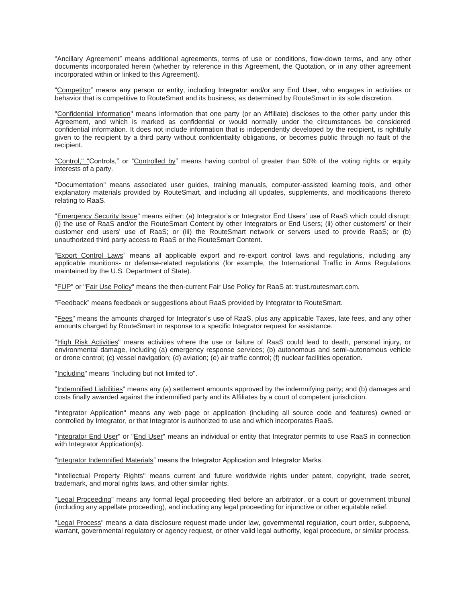"Ancillary Agreement" means additional agreements, terms of use or conditions, flow-down terms, and any other documents incorporated herein (whether by reference in this Agreement, the Quotation, or in any other agreement incorporated within or linked to this Agreement).

"Competitor" means any person or entity, including Integrator and/or any End User, who engages in activities or behavior that is competitive to RouteSmart and its business, as determined by RouteSmart in its sole discretion.

"Confidential Information" means information that one party (or an Affiliate) discloses to the other party under this Agreement, and which is marked as confidential or would normally under the circumstances be considered confidential information. It does not include information that is independently developed by the recipient, is rightfully given to the recipient by a third party without confidentiality obligations, or becomes public through no fault of the recipient.

"Control," "Controls," or "Controlled by" means having control of greater than 50% of the voting rights or equity interests of a party.

"Documentation" means associated user guides, training manuals, computer-assisted learning tools, and other explanatory materials provided by RouteSmart, and including all updates, supplements, and modifications thereto relating to RaaS.

"Emergency Security Issue" means either: (a) Integrator's or Integrator End Users' use of RaaS which could disrupt: (i) the use of RaaS and/or the RouteSmart Content by other Integrators or End Users; (ii) other customers' or their customer end users' use of RaaS; or (iii) the RouteSmart network or servers used to provide RaaS; or (b) unauthorized third party access to RaaS or the RouteSmart Content.

"Export Control Laws" means all applicable export and re-export control laws and regulations, including any applicable munitions- or defense-related regulations (for example, the International Traffic in Arms Regulations maintained by the U.S. Department of State).

"FUP" or "Fair Use Policy" means the then-current Fair Use Policy for RaaS at: trust.routesmart.com.

"Feedback" means feedback or suggestions about RaaS provided by Integrator to RouteSmart.

"Fees" means the amounts charged for Integrator's use of RaaS, plus any applicable Taxes, late fees, and any other amounts charged by RouteSmart in response to a specific Integrator request for assistance.

"High Risk Activities" means activities where the use or failure of RaaS could lead to death, personal injury, or environmental damage, including (a) emergency response services; (b) autonomous and semi-autonomous vehicle or drone control; (c) vessel navigation; (d) aviation; (e) air traffic control; (f) nuclear facilities operation.

"Including" means "including but not limited to".

"Indemnified Liabilities" means any (a) settlement amounts approved by the indemnifying party; and (b) damages and costs finally awarded against the indemnified party and its Affiliates by a court of competent jurisdiction.

"Integrator Application" means any web page or application (including all source code and features) owned or controlled by Integrator, or that Integrator is authorized to use and which incorporates RaaS.

"Integrator End User" or "End User" means an individual or entity that Integrator permits to use RaaS in connection with Integrator Application(s).

"Integrator Indemnified Materials" means the Integrator Application and Integrator Marks.

"Intellectual Property Rights" means current and future worldwide rights under patent, copyright, trade secret, trademark, and moral rights laws, and other similar rights.

"Legal Proceeding" means any formal legal proceeding filed before an arbitrator, or a court or government tribunal (including any appellate proceeding), and including any legal proceeding for injunctive or other equitable relief.

"Legal Process" means a data disclosure request made under law, governmental regulation, court order, subpoena, warrant, governmental regulatory or agency request, or other valid legal authority, legal procedure, or similar process.